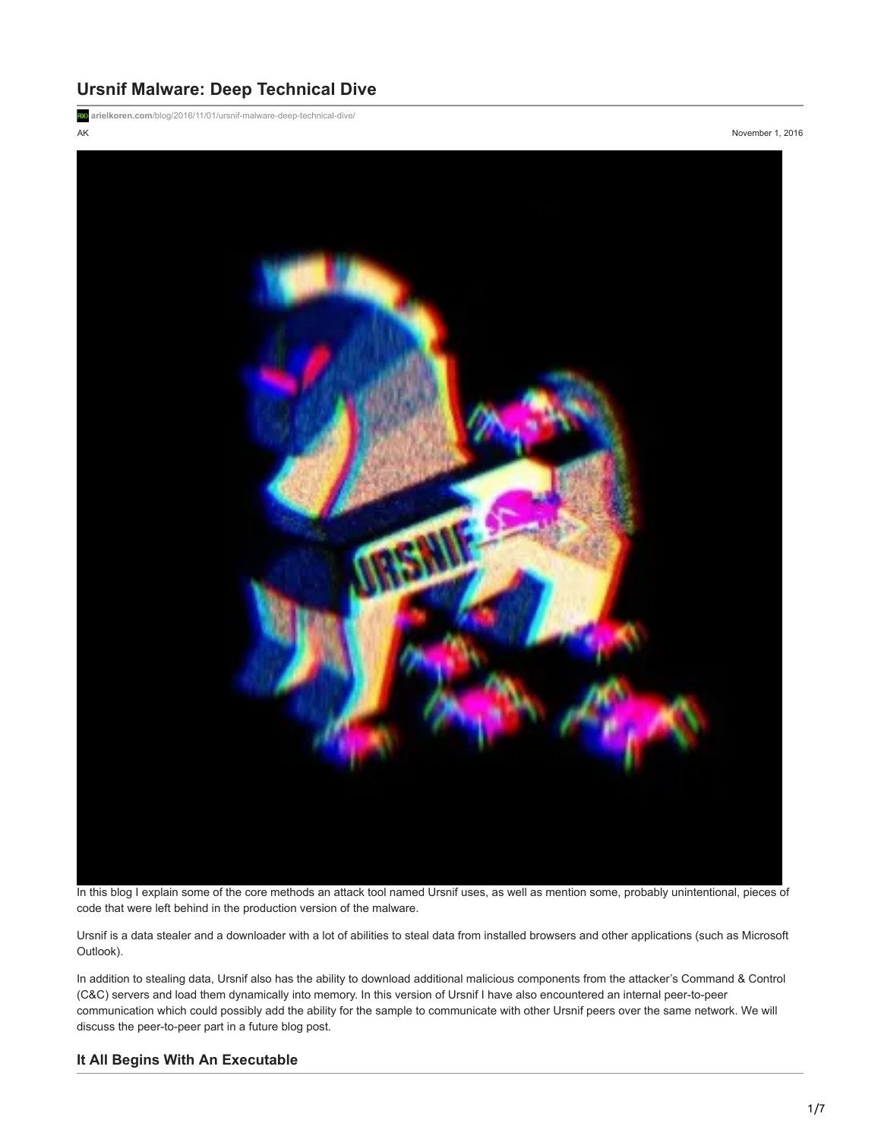# **Ursnif Malware: Deep Technical Dive**

**arielkoren.com**[/blog/2016/11/01/ursnif-malware-deep-technical-dive/](https://arielkoren.com/blog/2016/11/01/ursnif-malware-deep-technical-dive/)

AK November 1, 2016



In this blog I explain some of the core methods an attack tool named Ursnif uses, as well as mention some, probably unintentional, pieces of code that were left behind in the production version of the malware.

Ursnif is a data stealer and a downloader with a lot of abilities to steal data from installed browsers and other applications (such as Microsoft Outlook).

In addition to stealing data, Ursnif also has the ability to download additional malicious components from the attacker's Command & Control (C&C) servers and load them dynamically into memory. In this version of Ursnif I have also encountered an internal peer-to-peer communication which could possibly add the ability for the sample to communicate with other Ursnif peers over the same network. We will discuss the peer-to-peer part in a future blog post.

## **It All Begins With An Executable**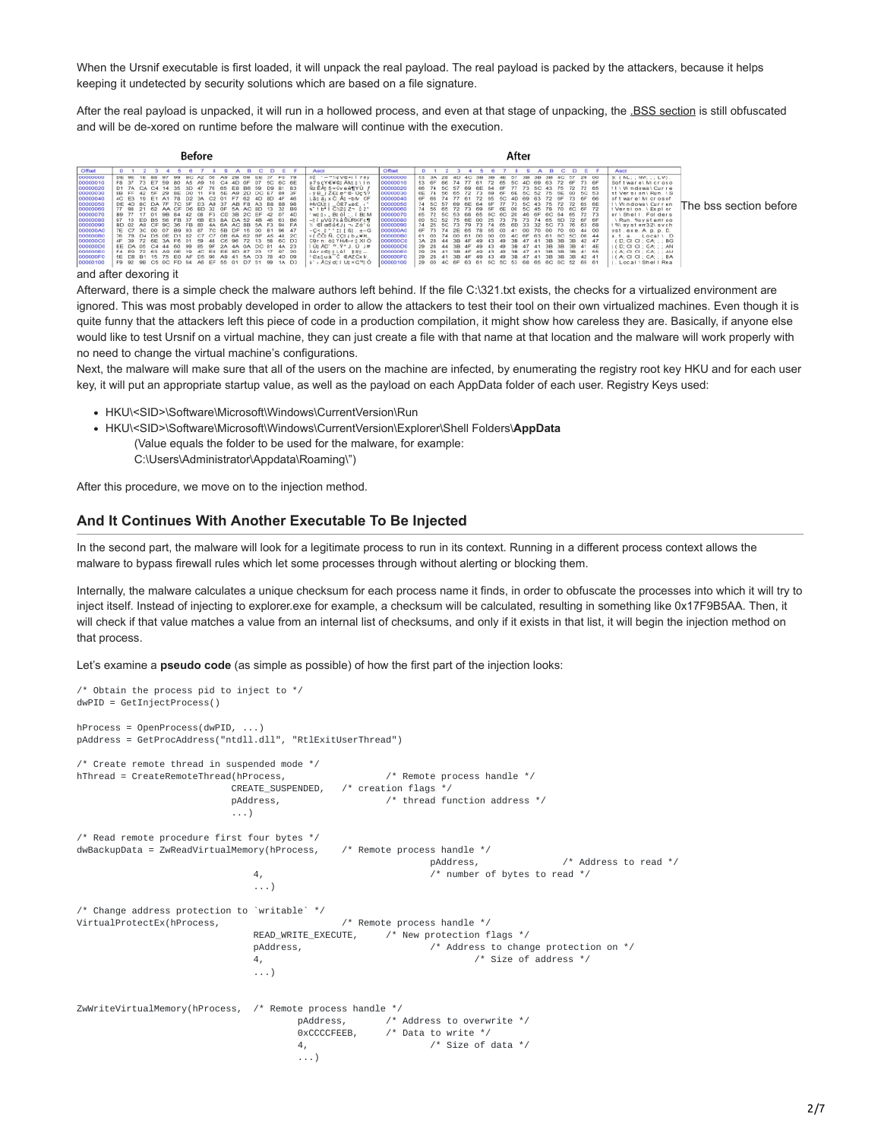When the Ursnif executable is first loaded, it will unpack the real payload. The real payload is packed by the attackers, because it helps keeping it undetected by security solutions which are based on a file signature.

After the real payload is unpacked, it will run in a hollowed process, and even at that stage of unpacking, the .**BSS section** is still obfuscated and will be de-xored on runtime before the malware will continue with the execution.

| Before                                                                                                                                                                                                                                                                                                                                                                                                                                                                                                                                                                                                                                                                                                                                                                                                                                                                                                                                | After                                                                                                                                                                                                                                                                                                                                                                                                                                                                                                                                                                                                                                                                                                                                                                                                                                                                                                                                                                                                                                                                                                                                                                                                                                                                                                                                                                                                                                                                                                                                                                                                                                                                                                                                                                                                                                                                                                                                                                                                                                                                                        |
|---------------------------------------------------------------------------------------------------------------------------------------------------------------------------------------------------------------------------------------------------------------------------------------------------------------------------------------------------------------------------------------------------------------------------------------------------------------------------------------------------------------------------------------------------------------------------------------------------------------------------------------------------------------------------------------------------------------------------------------------------------------------------------------------------------------------------------------------------------------------------------------------------------------------------------------|----------------------------------------------------------------------------------------------------------------------------------------------------------------------------------------------------------------------------------------------------------------------------------------------------------------------------------------------------------------------------------------------------------------------------------------------------------------------------------------------------------------------------------------------------------------------------------------------------------------------------------------------------------------------------------------------------------------------------------------------------------------------------------------------------------------------------------------------------------------------------------------------------------------------------------------------------------------------------------------------------------------------------------------------------------------------------------------------------------------------------------------------------------------------------------------------------------------------------------------------------------------------------------------------------------------------------------------------------------------------------------------------------------------------------------------------------------------------------------------------------------------------------------------------------------------------------------------------------------------------------------------------------------------------------------------------------------------------------------------------------------------------------------------------------------------------------------------------------------------------------------------------------------------------------------------------------------------------------------------------------------------------------------------------------------------------------------------------|
| Offset<br>$\mathbf{D}$<br>c.<br>15.<br>00000000<br>FD.<br>DE<br>37<br>00000010<br>5C 6C 6E<br>0F<br>CA.<br>00000020<br>81<br>83<br>76<br>86<br>D9<br>35<br>59<br>65<br>00000030<br>89<br>3F<br>8B<br><b>DF</b><br>4F<br>8D<br>46<br>00000040<br>00000050<br>8B<br>DE 4D<br>98<br>70<br><b>SF</b><br><b>B8</b><br>D3<br>A9<br>AB<br>00000060<br>32<br>89<br>OF<br>07<br>4D<br>00000070<br>CS 1<br>00000080<br>63<br>B8<br>52<br>DA:<br>6B<br>E5<br>46<br>B.S<br>00000090<br>FA.<br>BD<br>$P-4$<br>$A\Omega$<br>000000A0<br>Ge <sub>1</sub><br>000000B0<br>2C<br>48<br>A5<br>82<br>OB<br>ns.<br>000000C0<br>D <sub>3</sub><br>6C.<br>00000000<br>23<br>4A<br>$\alpha$ <sub>F</sub><br>۵a<br>000000E0<br>97<br>20<br>17<br><b>8D</b><br>23<br>E8<br>EE<br>83<br>O <sub>F</sub><br>000000F0<br>D9<br>4D<br>56<br>90<br>15<br>AF<br>D <sub>3</sub><br>00000100<br>F9 92<br><b>1A</b><br>99<br>A6<br>EF<br>55<br>D7<br>Сñ<br>na<br>OC<br>FD | Officet<br>Ascii<br>Ascil<br>c<br>13.<br>. .<br>bž - - "%#V#+I   78y<br>00000000<br>S: (ML:: NV::: LV).<br>29<br>$^{00}$<br>53.<br>00000016<br>73 6F<br>6F<br>ø7scY€¥€ AM tiln<br>53<br>Software\Mcroso<br>72<br>69<br>50<br>63<br>Nz EAs 5-Gyea¶YU<br>0000002<br>66<br>72 65<br>ft \ Windows\ Curre<br>72<br>50<br>$(9B)$ $2E1$ $0^{\circ}$ $E - 0$ $7$ $37$<br>00000030<br>nt Version\Run. \ S<br>5C 53<br>$^{00}$<br>73<br>6F 66<br>of twar e) M crosof<br>$L\underline{a}\underline{a}$ $\underline{a}$ $\underline{c}$ $\underline{c}$ $\underline{A}\underline{a}$ + $\underline{b}N$ CF<br>00000040<br>6F<br>PMOUT   OE7 <be.<br>00000050<br/>74<br/>t \ Windows\ Curren<br/>72 65 6E<br/>72<br/>50<br/>AC.<br/>The bss section before<br/>w"   b*   C121 Z ~   2"<br/>t Version, \ Expl or<br/>00000060<br/><b>6F 72</b><br/>74<br/>60<br/>on<br/>W0 0 &gt; _ B0 6   : , T B0 M<br/>00000070<br/>72 73<br/>er \ Shell, Folders<br/>-Ji uVü7káSÚRKFc¶<br/>00000080<br/>OD<br/>. \ Run. %ay at emr oo<br/>72 6F<br/>79<br/>73<br/>6F<br/>75<br/>nC<br/>6E<br/><math>^{00}</math><br/>25.<br/>65<br/>52<br/>60<br/>© 06ú€J) ¬, Zó'ú<br/>00000090<br/>1% system32\svch<br/>74<br/>76<br/>32<br/>63<br/>00<br/>000000A<br/>ost. exe. A. p. p. D.<br/><math>V(C_0, 1 \cdot 1   160. t - 6</math><br/><math>V(C_0, 0, C_0) b_0 W H</math><br/>00<br/>44.<br/>0000008<br/>5C<br/><math>a, t, a, </math> Local <math>i, D</math><br/><math>^{00}</math><br/>6C<br/><math>:</math> ( <math>D;</math> <math>G1 G1; GA;</math> <math>:</math> <math>:</math> <math>BG</math><br/>C9r n: 80 YHA-r 0 XI O<br/>000000C0<br/>106 AD' ™ Y* J. 0 J#<br/>I ( D: CI CI ; CA; ; ; AN<br/>00000000<br/>3B<br/>29<br/><math>ddr c</math> (\$11 Lèi <math>1H1 -</math><br/>0000006<br/>(A; C1 C1; G2; A1)<br/>38<sub>5</sub><br/>41<br/>55<br/>38<br/>38<br/>"Calua C GAZCXM<br/><math>J(A; G   G); GA; \ldots</math>BA<br/>COOCODFO<br/>29<br/>38<br/>ù' » Aby di i Ut × G"t Ó<br/>00000100<br/>65<br/>61<br/>Local \ Shell Rea<br/>29<br/>6C 52<br/>68<br/><b>BE</b><br/>65.<br/>60<br/>60<br/>53</be.<br> |

#### and after dexoring it

Afterward, there is a simple check the malware authors left behind. If the file C:\321.txt exists, the checks for a virtualized environment are ignored. This was most probably developed in order to allow the attackers to test their tool on their own virtualized machines. Even though it is quite funny that the attackers left this piece of code in a production compilation, it might show how careless they are. Basically, if anyone else would like to test Ursnif on a virtual machine, they can just create a file with that name at that location and the malware will work properly with no need to change the virtual machine's configurations.

Next, the malware will make sure that all of the users on the machine are infected, by enumerating the registry root key HKU and for each user key, it will put an appropriate startup value, as well as the payload on each AppData folder of each user. Registry Keys used:

- HKU\<SID>\Software\Microsoft\Windows\CurrentVersion\Run
- HKU\<SID>\Software\Microsoft\Windows\CurrentVersion\Explorer\Shell Folders\**AppData** (Value equals the folder to be used for the malware, for example: C:\Users\Administrator\Appdata\Roaming\")

After this procedure, we move on to the injection method.

### **And It Continues With Another Executable To Be Injected**

In the second part, the malware will look for a legitimate process to run in its context. Running in a different process context allows the malware to bypass firewall rules which let some processes through without alerting or blocking them.

Internally, the malware calculates a unique checksum for each process name it finds, in order to obfuscate the processes into which it will try to inject itself. Instead of injecting to explorer.exe for example, a checksum will be calculated, resulting in something like 0x17F9B5AA. Then, it will check if that value matches a value from an internal list of checksums, and only if it exists in that list, it will begin the injection method on that process.

Let's examine a **pseudo code** (as simple as possible) of how the first part of the injection looks:

```
/* Obtain the process pid to inject to */
dwPID = GetInjectProcess()
hProcess = OpenProcess(dwPID, ...)
pAddress = GetProcAddress("ntdll.dll", "RtlExitUserThread")
/* Create remote thread in suspended mode */
hThread = CreateRemoteThread(hProcess, \sqrt{\phantom{a}} Remote process handle \prime/
                          CREATE_SUSPENDED, /* creation flags */
                          pAddress, \frac{1}{2} /* thread function address */
                          ...)
/* Read remote procedure first four bytes */
dwBackupData = ZwReadVirtualMemory(hProcess, /* Remote process handle */
                                                             pAddress, /* Address to read */
                              4, /* number of bytes to read */
                              ...)
/* Change address protection to `writable` */
                              \prime* Remote process handle */<br>READ_WRITE_EXECUTE, \prime* New protection f.
                                                     \ell^* New protection flags */
                              pAddress, /* Address to change protection on */
                              4, /* Size of address */
                              ...)
ZwWriteVirtualMemory(hProcess, \frac{1}{\sqrt{2}} Remote process handle */<br>pAddress, \frac{1}{\sqrt{2}}\prime* Address to overwrite */
                                      0xCCCCFEEB, /* Data to write */
                                      4, /* Size of data */
                                       ...)
```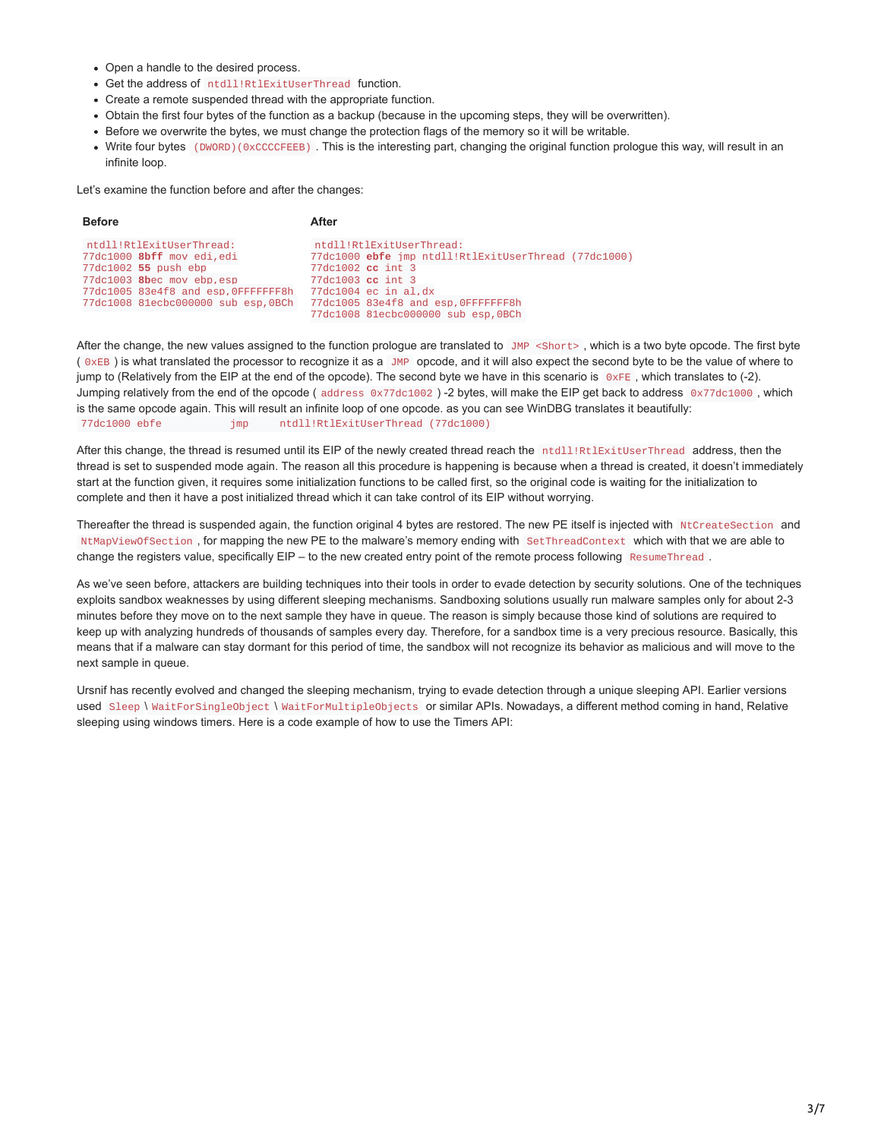- Open a handle to the desired process.
- Get the address of ntdll!RtlExitUserThread function.
- Create a remote suspended thread with the appropriate function.
- Obtain the first four bytes of the function as a backup (because in the upcoming steps, they will be overwritten).
- Before we overwrite the bytes, we must change the protection flags of the memory so it will be writable.
- Write four bytes (DWORD)(0xCCCCFEEB). This is the interesting part, changing the original function prologue this way, will result in an infinite loop.

Let's examine the function before and after the changes:

| <b>Before</b>                                                                                                                                                                                        | After                                                                                                                                                                                                                                  |
|------------------------------------------------------------------------------------------------------------------------------------------------------------------------------------------------------|----------------------------------------------------------------------------------------------------------------------------------------------------------------------------------------------------------------------------------------|
| ntdll!RtlExitUserThread:<br>77dc1000 <b>8bff</b> mov edi,edi<br>77dc1002 <b>55</b> push ebp<br>77dc1003 8bec mov ebp.esp<br>77dc1005 83e4f8 and esp.0FFFFFFF8h<br>77dc1008 81ecbc000000 sub esp,0BCh | ntdll!RtlExitUserThread:<br>77dc1000 <b>ebfe</b> imp ntdll!RtlExitUserThread (77dc1000)<br>77dc1002 cc int 3<br>77dc1003 cc int 3<br>77dc1004 ec in al.dx<br>77dc1005 83e4f8 and esp, OFFFFFFFBh<br>77dc1008 81ecbc000000 sub esp,0BCh |

After the change, the new values assigned to the function prologue are translated to JMP <Short>, which is a two byte opcode. The first byte ( 0xEB ) is what translated the processor to recognize it as a JMP opcode, and it will also expect the second byte to be the value of where to jump to (Relatively from the EIP at the end of the opcode). The second byte we have in this scenario is  $0 \times FE$ , which translates to (-2). Jumping relatively from the end of the opcode (address 0x77dc1002) -2 bytes, will make the EIP get back to address 0x77dc1000, which is the same opcode again. This will result an infinite loop of one opcode. as you can see WinDBG translates it beautifully: 77dc1000 ebfe jmp ntdll!RtlExitUserThread (77dc1000)

After this change, the thread is resumed until its EIP of the newly created thread reach the ntdll!RtlExitUserThread address, then the thread is set to suspended mode again. The reason all this procedure is happening is because when a thread is created, it doesn't immediately start at the function given, it requires some initialization functions to be called first, so the original code is waiting for the initialization to complete and then it have a post initialized thread which it can take control of its EIP without worrying.

Thereafter the thread is suspended again, the function original 4 bytes are restored. The new PE itself is injected with NtCreateSection and NtMapViewOfSection , for mapping the new PE to the malware's memory ending with SetThreadContext which with that we are able to change the registers value, specifically  $EIP -$  to the new created entry point of the remote process following ResumeThread.

As we've seen before, attackers are building techniques into their tools in order to evade detection by security solutions. One of the techniques exploits sandbox weaknesses by using different sleeping mechanisms. Sandboxing solutions usually run malware samples only for about 2-3 minutes before they move on to the next sample they have in queue. The reason is simply because those kind of solutions are required to keep up with analyzing hundreds of thousands of samples every day. Therefore, for a sandbox time is a very precious resource. Basically, this means that if a malware can stay dormant for this period of time, the sandbox will not recognize its behavior as malicious and will move to the next sample in queue.

Ursnif has recently evolved and changed the sleeping mechanism, trying to evade detection through a unique sleeping API. Earlier versions used Sleep \ WaitForSingleObject \ WaitForMultipleObjects or similar APIs. Nowadays, a different method coming in hand, Relative sleeping using windows timers. Here is a code example of how to use the Timers API: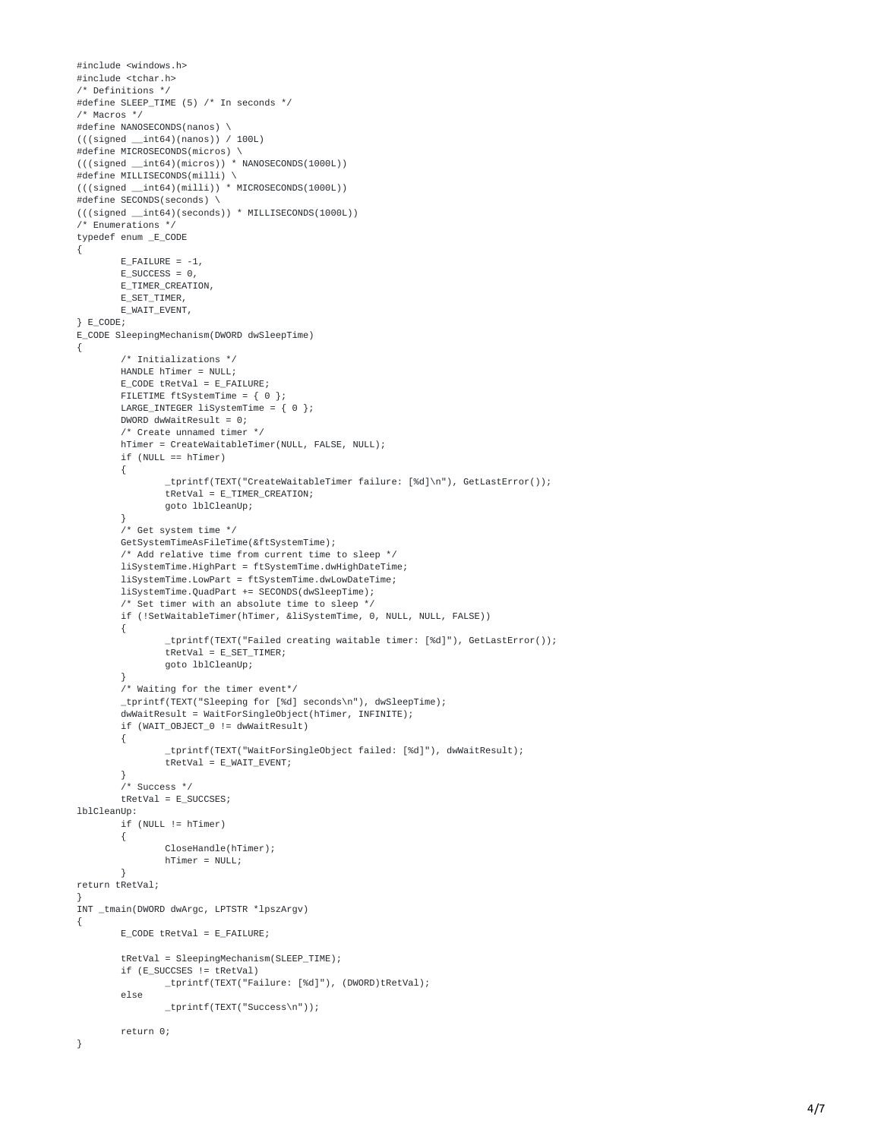```
#
i
n
c
l
u
d
e
<
w
i
n
d
o
w
s.h
>
#include <tchar.h>
/* Definitions */
#define SLEEP_TIME (5) /* In seconds */
/* Macros */
#define NANOSECONDS(nanos) \
(((signed __int64)(nanos)) / 100L)
#define MICROSECONDS(micros) \
(((signed __int64)(micros)) * NANOSECONDS(1000L))
#define MILLISECONDS(milli) \
(((signed __int64)(milli)) * MICROSECONDS(1000L))
#define SECONDS(seconds) \
(((signed __int64)(seconds)) * MILLISECONDS(1000L))
/* Enumerations */
typedef enum _E_CODE
{
        E_FAILURE = -1,
        E_SUCCESS = 0,
        E_TIMER_CREATION,
        E_SET_TIMER,
        E_WAIT_EVENT,
}
E
_
C
O
D
E
;
E_CODE SleepingMechanism(DWORD dwSleepTime)
{
        /* Initializations */
        HANDLE hTimer = NULL;
        E_CODE tRetVal = E_FAILURE;
        FILETIME <code>ftSystemTime = { 0 };</code>
        LARGE_INTEGER liSystemTime = { 0 };
        DWORD dwWaitResult = 0;
        /* Create unnamed timer */
        hTimer = CreateWaitableTimer(NULL, FALSE, NULL);
        if (NULL == hTimer)
        {
                _tprintf(TEXT("CreateWaitableTimer failure: [%d]\n"), GetLastError());
                tRetVal = E_TIMER_CREATION;
                goto lblCleanUp;
        }<br>/* Get system time */
        GetSystemTimeAsFileTime(&ftSystemTime);
        /* Add relative time from current time to sleep */
        liSystemTime.HighPart = ftSystemTime.dwHighDateTime;
        liSystemTime.LowPart = ftSystemTime.dwLowDateTime;
        liSystemTime.QuadPart += SECONDS(dwSleepTime);
        /* Set timer with an absolute time to sleep */
        if (!SetWaitableTimer(hTimer, &liSystemTime, 0, NULL, NULL, FALSE))
        {
                _tprintf(TEXT("Failed creating waitable timer: [%d]"), GetLastError());
                tRetVal = E_SET_TIMER;
                goto lblCleanUp;
        }<br>/* Waiting for the timer event*/
        _tprintf(TEXT("Sleeping for [%d] seconds\n"), dwSleepTime);
        dwWaitResult = WaitForSingleObject(hTimer, INFINITE);
        if (WAIT_OBJECT_0 != dwWaitResult)
        {
                _tprintf(TEXT("WaitForSingleObject failed: [%d]"), dwWaitResult);
                tRetVal = E_WAIT_EVENT;
        }<br>/* Success */
        tRetVal = E_SUCCSES;
lblCleanUp:
        if (NULL != hTimer)
        {
                CloseHandle(hTimer);
                hTimer = NULL;
        }
return tRetVal;
}<br>INT _tmain(DWORD dwArgc, LPTSTR *lpszArgv)
{
        E_CODE tRetVal = E_FAILURE;
        tRetVal = SleepingMechanism(SLEEP_TIME);
        if (E_SUCCSES != tRetVal)
                _tprintf(TEXT("Failure: [%d]"), (DWORD)tRetVal);
        e
l
s
e
                _tprintf(TEXT("Success\n"));
        return 0;
}
```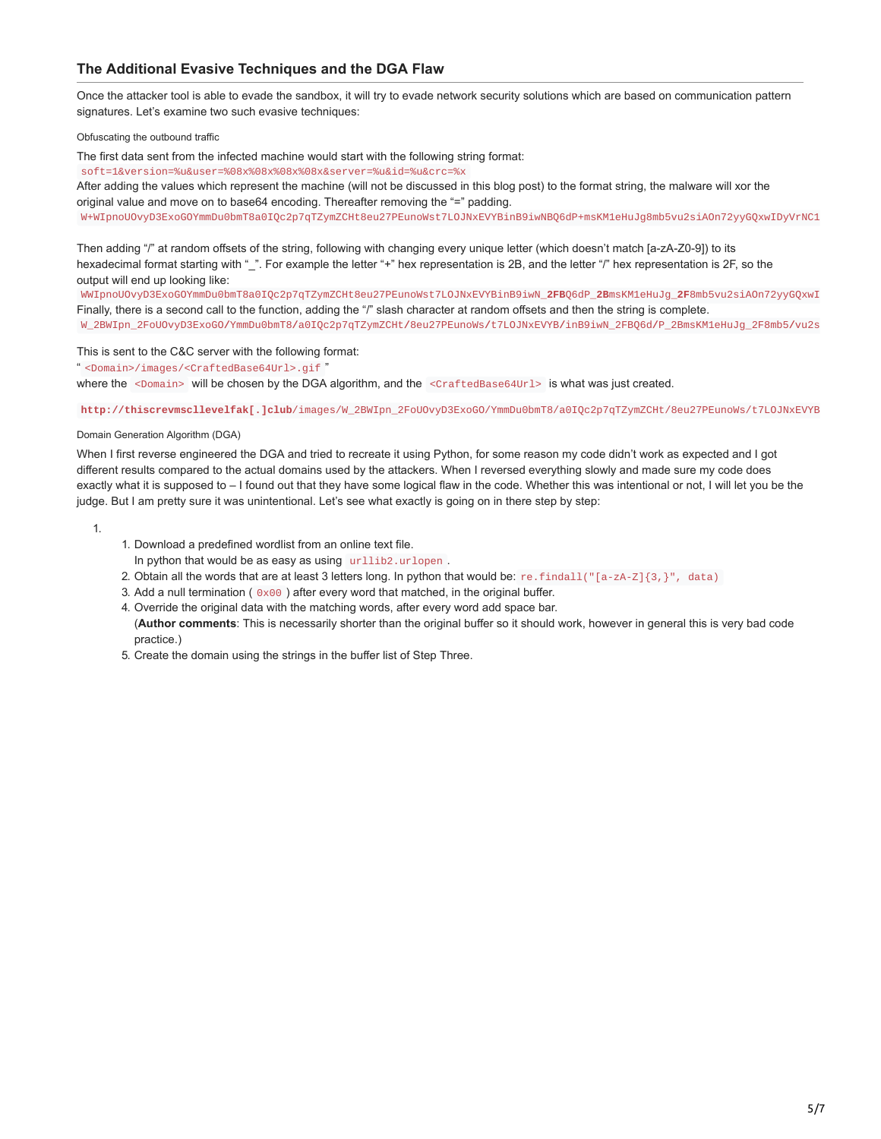# **The Additional Evasive Techniques and the DGA Flaw**

Once the attacker tool is able to evade the sandbox, it will try to evade network security solutions which are based on communication pattern signatures. Let's examine two such evasive techniques:

Obfuscating the outbound traffic

The first data sent from the infected machine would start with the following string format:

soft=1&version=%u&user=%08x%08x%08x%08x&server=%u&id=%u&crc=%x

After adding the values which represent the machine (will not be discussed in this blog post) to the format string, the malware will xor the original value and move on to base64 encoding. Thereafter removing the "=" padding.

W+WIpnoUOvyD3ExoGOYmmDu0bmT8a0IQc2p7qTZymZCHt8eu27PEunoWst7LOJNxEVYBinB9iwNBQ6dP+msKM1eHuJg8mb5vu2siAOn72yyGQxwIDyVrNC1

Then adding "/" at random offsets of the string, following with changing every unique letter (which doesn't match [a-zA-Z0-9]) to its hexadecimal format starting with "\_". For example the letter "+" hex representation is 2B, and the letter "/" hex representation is 2F, so the output will end up looking like:

WWIpnoUOvyD3ExoGOYmmDu0bmT8a0IQc2p7qTZymZCHt8eu27PEunoWst7LOJNxEVYBinB9iwN**\_2FB**Q6dP**\_2B**msKM1eHuJg**\_2F**8mb5vu2siAOn72yyGQxwI Finally, there is a second call to the function, adding the "/" slash character at random offsets and then the string is complete. W\_2BWIpn\_2FoUOvyD3ExoGO**/**YmmDu0bmT8**/**a0IQc2p7qTZymZCHt**/**8eu27PEunoWs**/**t7LOJNxEVYB**/**inB9iwN\_2FBQ6d**/**P\_2BmsKM1eHuJg\_2F8mb5**/**vu2s

This is sent to the C&C server with the following format:

" <Domain>/images/<CraftedBase64Url>.gif "

where the  $\leq$ Domain> will be chosen by the DGA algorithm, and the  $\leq$ CraftedBase64Url> is what was just created.

**http://thiscrevmscllevelfak[.]club**/images/W\_2BWIpn\_2FoUOvyD3ExoGO/YmmDu0bmT8/a0IQc2p7qTZymZCHt/8eu27PEunoWs/t7LOJNxEVYB

Domain Generation Algorithm (DGA)

When I first reverse engineered the DGA and tried to recreate it using Python, for some reason my code didn't work as expected and I got different results compared to the actual domains used by the attackers. When I reversed everything slowly and made sure my code does exactly what it is supposed to – I found out that they have some logical flaw in the code. Whether this was intentional or not, I will let you be the judge. But I am pretty sure it was unintentional. Let's see what exactly is going on in there step by step:

1.

- 1. Download a predefined wordlist from an online text file.
- In python that would be as easy as using urllib2.urlopen .
- 2. Obtain all the words that are at least 3 letters long. In python that would be: re.findall(" $[a-zA-Z]{3}$ ,", data)
- 3. Add a null termination ( $0 \times 00$ ) after every word that matched, in the original buffer.
- 4. Override the original data with the matching words, after every word add space bar.

(**Author comments**: This is necessarily shorter than the original buffer so it should work, however in general this is very bad code practice.)

5. Create the domain using the strings in the buffer list of Step Three.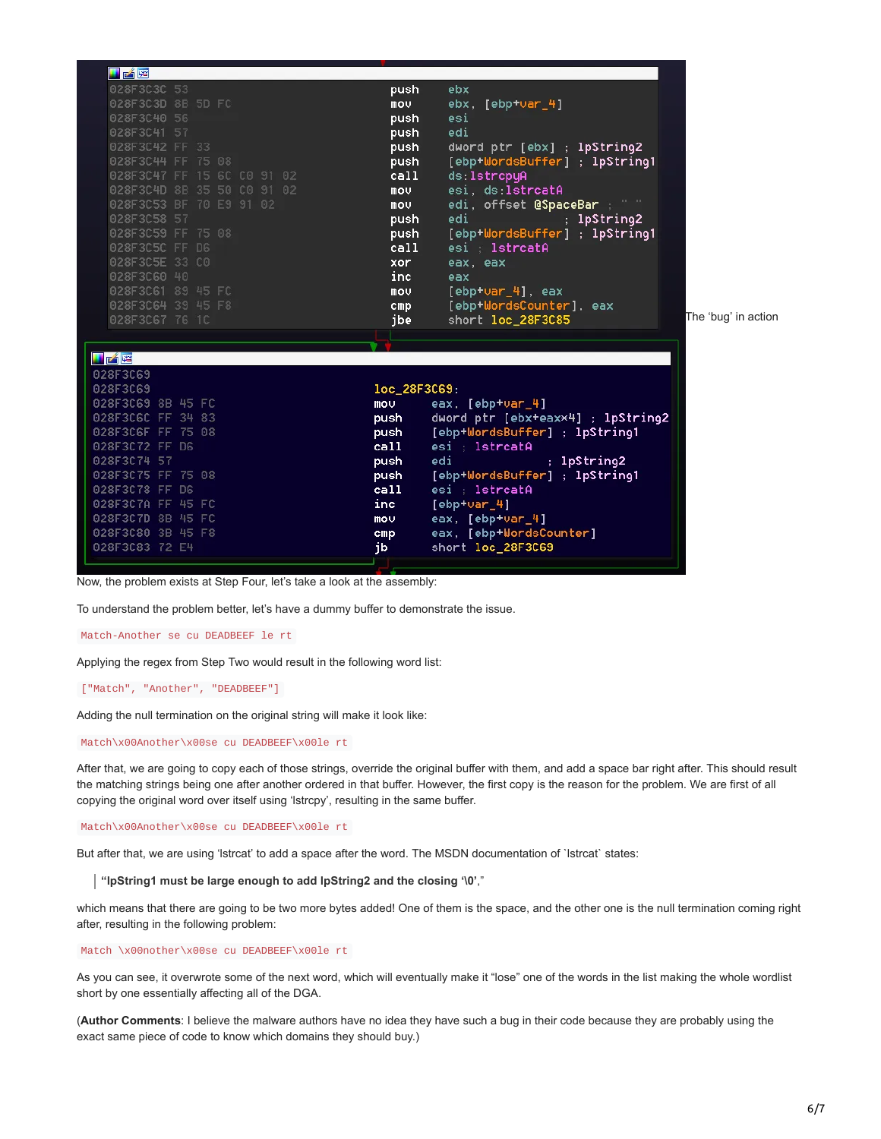

Now, the problem exists at Step Four, let's take a look at the assembly:

To understand the problem better, let's have a dummy buffer to demonstrate the issue.

Match-Another se cu DEADBEEF le rt

Applying the regex from Step Two would result in the following word list:

["Match", "Another", "DEADBEEF"]

Adding the null termination on the original string will make it look like:

Match\x00Another\x00se cu DEADBEEF\x00le rt

After that, we are going to copy each of those strings, override the original buffer with them, and add a space bar right after. This should result the matching strings being one after another ordered in that buffer. However, the first copy is the reason for the problem. We are first of all copying the original word over itself using 'lstrcpy', resulting in the same buffer.

Match\x00Another\x00se cu DEADBEEF\x00le rt

But after that, we are using 'lstrcat' to add a space after the word. The MSDN documentation of `lstrcat` states:

**"lpString1 must be large enough to add lpString2 and the closing '\0'**,"

which means that there are going to be two more bytes added! One of them is the space, and the other one is the null termination coming right after, resulting in the following problem:

#### Match \x00nother\x00se cu DEADBEEF\x00le rt

As you can see, it overwrote some of the next word, which will eventually make it "lose" one of the words in the list making the whole wordlist short by one essentially affecting all of the DGA.

(**Author Comments**: I believe the malware authors have no idea they have such a bug in their code because they are probably using the exact same piece of code to know which domains they should buy.)